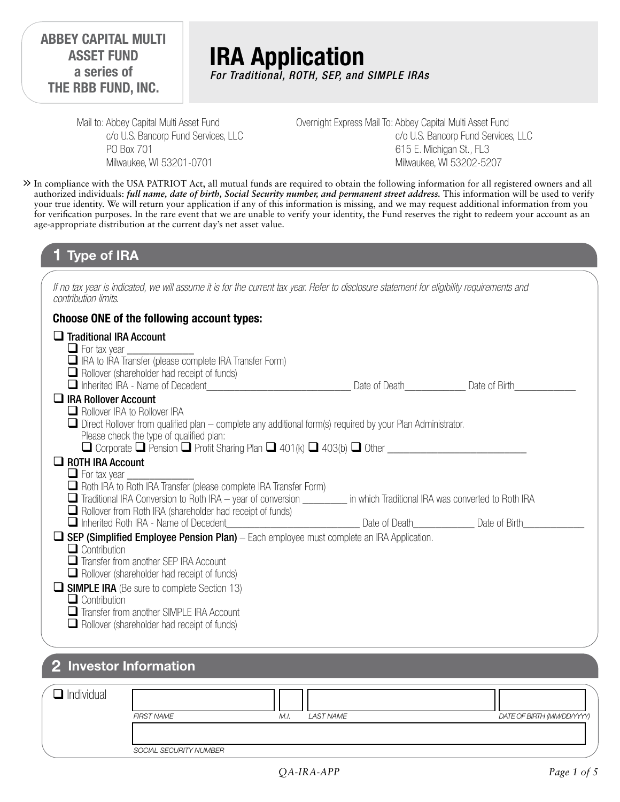### **ABBEY CAPITAL MULTI ASSET FUND a series of THE RBB FUND, INC.**

# **IRA Application** *For Traditional, ROTH, SEP, and SIMPLE IRAs*

Mail to: Abbey Capital Multi Asset Fund c/o U.S. Bancorp Fund Services, LLC PO Box 701 Milwaukee, WI 53201-0701

Overnight Express Mail To: Abbey Capital Multi Asset Fund c/o U.S. Bancorp Fund Services, LLC 615 E. Michigan St., FL3 Milwaukee, WI 53202-5207

In compliance with the USA PATRIOT Act, all mutual funds are required to obtain the following information for all registered owners and all **>>** authorized individuals: *full name, date of birth, Social Security number, and permanent street address.* This information will be used to verify your true identity. We will return your application if any of this information is missing, and we may request additional information from you for verification purposes. In the rare event that we are unable to verify your identity, the Fund reserves the right to redeem your account as an age-appropriate distribution at the current day's net asset value.

### **1 Type of IRA**

*If no tax year is indicated, we will assume it is for the current tax year. Refer to disclosure statement for eligibility requirements and contribution limits.*

#### **Choose ONE of the following account types:**

| $\Box$ Traditional IRA Account<br>$\Box$ For tax year $\Box$                                                                                                                                                                                                                                        |                             |  |
|-----------------------------------------------------------------------------------------------------------------------------------------------------------------------------------------------------------------------------------------------------------------------------------------------------|-----------------------------|--|
| $\Box$ IRA to IRA Transfer (please complete IRA Transfer Form)                                                                                                                                                                                                                                      |                             |  |
| $\Box$ Rollover (shareholder had receipt of funds)<br>$\Box$ Inherited IRA - Name of Decedent                                                                                                                                                                                                       | Date of Death Date of Birth |  |
| $\Box$ IRA Rollover Account                                                                                                                                                                                                                                                                         |                             |  |
| $\Box$ Rollover IRA to Rollover IRA<br>$\Box$ Direct Rollover from qualified plan – complete any additional form(s) required by your Plan Administrator.<br>Please check the type of qualified plan:                                                                                                |                             |  |
|                                                                                                                                                                                                                                                                                                     |                             |  |
| $\Box$ ROTH IRA Account                                                                                                                                                                                                                                                                             |                             |  |
| $\Box$ For tax year $\Box$<br>Roth IRA to Roth IRA Transfer (please complete IRA Transfer Form)<br>$\Box$ Traditional IRA Conversion to Roth IRA – year of conversion $\_\_$ in which Traditional IRA was converted to Roth IRA<br>$\Box$ Rollover from Roth IRA (shareholder had receipt of funds) |                             |  |
| nherited Roth IRA - Name of Decedent __________________________________ Date of Death _______________ Date of Birth                                                                                                                                                                                 |                             |  |
| $\Box$ SEP (Simplified Employee Pension Plan) – Each employee must complete an IRA Application.<br>$\Box$ Contribution<br>$\Box$ Transfer from another SEP IRA Account<br>$\Box$ Rollover (shareholder had receipt of funds)                                                                        |                             |  |
| $\Box$ SIMPLE IRA (Be sure to complete Section 13)<br>$\Box$ Contribution<br>Transfer from another SIMPLE IRA Account<br>$\Box$ Rollover (shareholder had receipt of funds)                                                                                                                         |                             |  |

### **2 Investor Information**

| $\Box$ Individual |                        |                   |                            |
|-------------------|------------------------|-------------------|----------------------------|
|                   | <b>FIRST NAME</b>      | LAST NAME<br>M.I. | DATE OF BIRTH (MM/DD/YYYY) |
|                   |                        |                   |                            |
|                   | SOCIAL SECURITY NUMBER |                   |                            |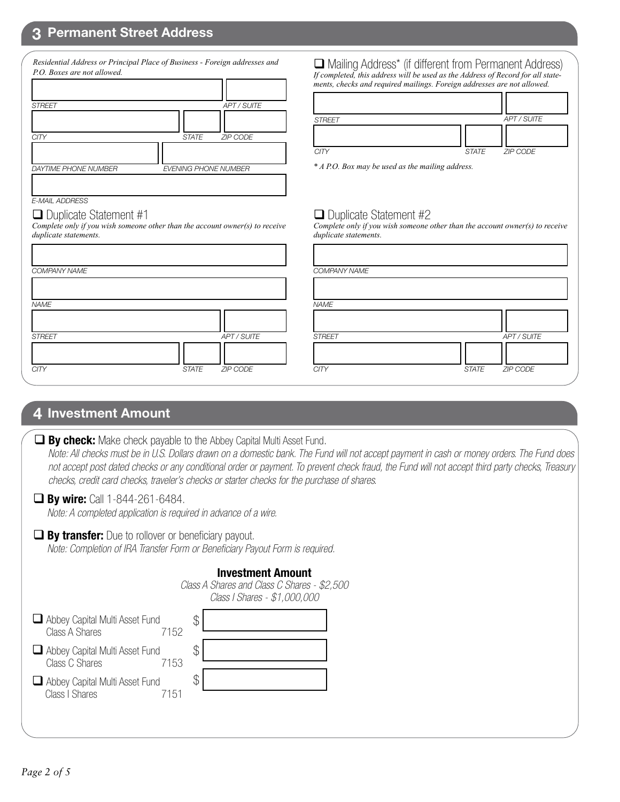### **3 Permanent Street Address**

| P.O. Boxes are not allowed. | Residential Address or Principal Place of Business - Foreign addresses and |
|-----------------------------|----------------------------------------------------------------------------|
|                             |                                                                            |
| <b>STREET</b>               | <b>APT / SUITE</b>                                                         |
|                             |                                                                            |
| CITY                        | <b>ZIP CODE</b><br><b>STATE</b>                                            |
|                             |                                                                            |
| <b>DAYTIME PHONE NUMBER</b> | <b>EVENING PHONE NUMBER</b>                                                |
|                             |                                                                            |
| <b>E-MAIL ADDRESS</b>       |                                                                            |

*Complete only if you wish someone other than the account owner(s) to receive* 

 Mailing Address\* (if different from Permanent Address) *If completed, this address will be used as the Address of Record for all statements, checks and required mailings. Foreign addresses are not allowed.*

| <b>STREET</b> |                | APT / SUITE |
|---------------|----------------|-------------|
|               |                |             |
| $\cap$ itv    | STATE ZIP CODE |             |

*\* A P.O. Box may be used as the mailing address.*

#### $\Box$  Duplicate Statement #2

*Complete only if you wish someone other than the account owner(s) to receive duplicate statements.*

|             | COMPANY NAME  |                          |
|-------------|---------------|--------------------------|
|             |               |                          |
|             | <b>NAME</b>   |                          |
|             |               |                          |
| APT / SUITE | <b>STREET</b> | APT / SUITE              |
|             |               |                          |
| ZIP CODE    | <b>CITY</b>   | ZIP CODE<br><b>STATE</b> |
|             |               |                          |

### **4 Investment Amount**

*NAME*

*duplicate statements.*

 $\Box$  Duplicate Statement #1

 *Note: All checks must be in U.S. Dollars drawn on a domestic bank. The Fund will not accept payment in cash or money orders. The Fund does not accept post dated checks or any conditional order or payment. To prevent check fraud, the Fund will not accept third party checks, Treasury checks, credit card checks, traveler's checks or starter checks for the purchase of shares.*

#### **By wire:** Call 1-844-261-6484.

*Note: A completed application is required in advance of a wire.*

#### **By transfer:** Due to rollover or beneficiary payout. *Note: Completion of IRA Transfer Form or Beneficiary Payout Form is required.*

\$

#### **Investment Amount**

|                                                                 | Class A Shares and Class C Shares - \$2,500<br>Class I Shares - \$1,000,000 |  |
|-----------------------------------------------------------------|-----------------------------------------------------------------------------|--|
| $\Box$ Abbey Capital Multi Asset Fund<br>Class A Shares<br>7152 |                                                                             |  |
| $\Box$ Abbey Capital Multi Asset Fund<br>Class C Shares         |                                                                             |  |

Abbey Capital Multi Asset Fund

Class I Shares 7151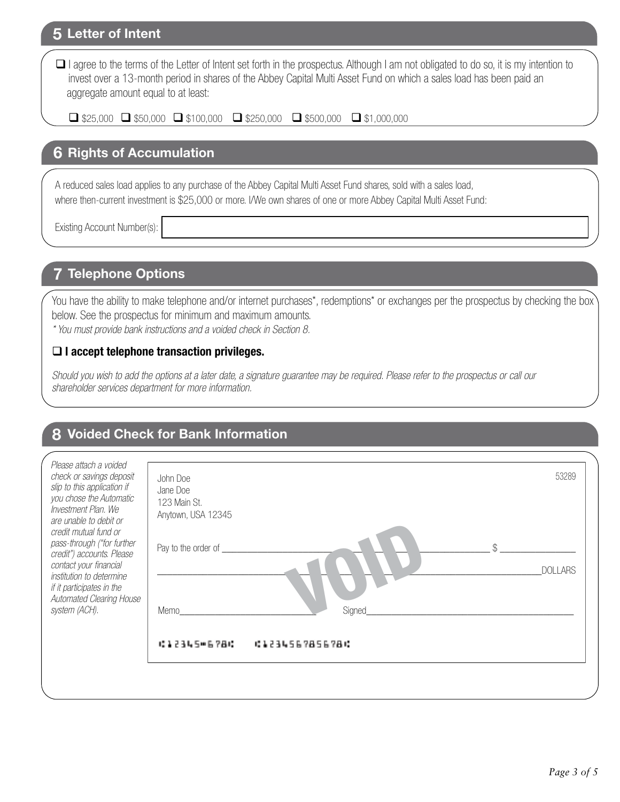### **5 Letter of Intent**

□ I agree to the terms of the Letter of Intent set forth in the prospectus. Although I am not obligated to do so, it is my intention to invest over a 13-month period in shares of the Abbey Capital Multi Asset Fund on which a sales load has been paid an aggregate amount equal to at least:

 $\Box$  \$25,000  $\Box$  \$50,000  $\Box$  \$100,000  $\Box$  \$250,000  $\Box$  \$500,000  $\Box$  \$1,000,000

### **6 Rights of Accumulation**

A reduced sales load applies to any purchase of the Abbey Capital Multi Asset Fund shares, sold with a sales load, where then-current investment is \$25,000 or more. I/We own shares of one or more Abbey Capital Multi Asset Fund:

Existing Account Number(s):

# **7 Telephone Options**

You have the ability to make telephone and/or internet purchases\*, redemptions\* or exchanges per the prospectus by checking the box below. See the prospectus for minimum and maximum amounts.

*\* You must provide bank instructions and a voided check in Section 8.* 

### **I accept telephone transaction privileges.**

*Should you wish to add the options at a later date, a signature guarantee may be required. Please refer to the prospectus or call our shareholder services department for more information.*

# **8 Voided Check for Bank Information**

| Please attach a voided<br>check or savings deposit<br>slip to this application if<br>you chose the Automatic<br>Investment Plan. We<br>are unable to debit or<br>credit mutual fund or<br>pass-through ("for further<br>credit") accounts. Please<br>contact your financial<br>institution to determine<br>if it participates in the<br>Automated Clearing House<br>system (ACH). | John Doe<br>Jane Doe<br>123 Main St.<br>Anytown, USA 12345<br>Pay to the order of _____<br>Memo | ¢<br>Signed    | 53289<br><b>DOLLARS</b> |
|-----------------------------------------------------------------------------------------------------------------------------------------------------------------------------------------------------------------------------------------------------------------------------------------------------------------------------------------------------------------------------------|-------------------------------------------------------------------------------------------------|----------------|-------------------------|
|                                                                                                                                                                                                                                                                                                                                                                                   | 经未记录库后申后单品项                                                                                     | 61234567856786 |                         |
|                                                                                                                                                                                                                                                                                                                                                                                   |                                                                                                 |                |                         |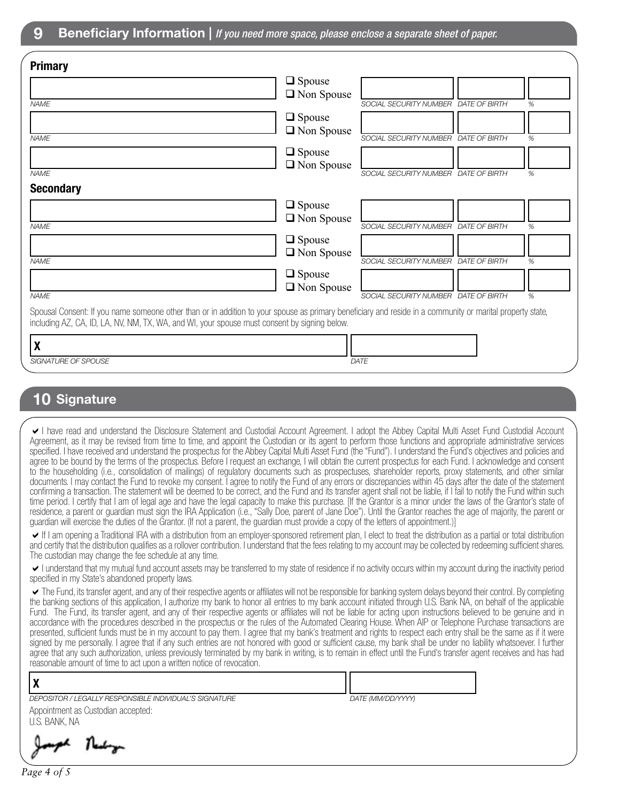| <b>Primary</b>                                                                                                                                                                                                                                            |                   |                                      |   |
|-----------------------------------------------------------------------------------------------------------------------------------------------------------------------------------------------------------------------------------------------------------|-------------------|--------------------------------------|---|
|                                                                                                                                                                                                                                                           | $\Box$ Spouse     |                                      |   |
| <b>NAME</b>                                                                                                                                                                                                                                               | $\Box$ Non Spouse | SOCIAL SECURITY NUMBER DATE OF BIRTH | % |
|                                                                                                                                                                                                                                                           | $\Box$ Spouse     |                                      |   |
| <b>NAME</b>                                                                                                                                                                                                                                               | $\Box$ Non Spouse | SOCIAL SECURITY NUMBER DATE OF BIRTH | % |
|                                                                                                                                                                                                                                                           | $\Box$ Spouse     |                                      |   |
|                                                                                                                                                                                                                                                           | $\Box$ Non Spouse |                                      |   |
| <b>NAME</b>                                                                                                                                                                                                                                               |                   | SOCIAL SECURITY NUMBER DATE OF BIRTH | % |
| <b>Secondary</b>                                                                                                                                                                                                                                          |                   |                                      |   |
|                                                                                                                                                                                                                                                           | $\Box$ Spouse     |                                      |   |
| <b>NAME</b>                                                                                                                                                                                                                                               | $\Box$ Non Spouse | SOCIAL SECURITY NUMBER DATE OF BIRTH | % |
|                                                                                                                                                                                                                                                           | $\Box$ Spouse     |                                      |   |
| <b>NAME</b>                                                                                                                                                                                                                                               | $\Box$ Non Spouse |                                      | % |
|                                                                                                                                                                                                                                                           | $\Box$ Spouse     | SOCIAL SECURITY NUMBER DATE OF BIRTH |   |
|                                                                                                                                                                                                                                                           | $\Box$ Non Spouse |                                      |   |
| <b>NAME</b>                                                                                                                                                                                                                                               |                   | SOCIAL SECURITY NUMBER DATE OF BIRTH | % |
| Spousal Consent: If you name someone other than or in addition to your spouse as primary beneficiary and reside in a community or marital property state,<br>including AZ, CA, ID, LA, NV, NM, TX, WA, and WI, your spouse must consent by signing below. |                   |                                      |   |
| X                                                                                                                                                                                                                                                         |                   |                                      |   |
| SIGNATURE OF SPOUSE                                                                                                                                                                                                                                       |                   | DATE                                 |   |
|                                                                                                                                                                                                                                                           |                   |                                      |   |

### **10 Signature**

I have read and understand the Disclosure Statement and Custodial Account Agreement. I adopt the Abbey Capital Multi Asset Fund Custodial Account Agreement, as it may be revised from time to time, and appoint the Custodian or its agent to perform those functions and appropriate administrative services specified. I have received and understand the prospectus for the Abbey Capital Multi Asset Fund (the "Fund"). I understand the Fund's objectives and policies and agree to be bound by the terms of the prospectus. Before I request an exchange, I will obtain the current prospectus for each Fund. I acknowledge and consent to the householding (i.e., consolidation of mailings) of regulatory documents such as prospectuses, shareholder reports, proxy statements, and other similar documents. I may contact the Fund to revoke my consent. I agree to notify the Fund of any errors or discrepancies within 45 days after the date of the statement confirming a transaction. The statement will be deemed to be correct, and the Fund and its transfer agent shall not be liable, if I fail to notify the Fund within such time period. I certify that I am of legal age and have the legal capacity to make this purchase. [If the Grantor is a minor under the laws of the Grantor's state of residence, a parent or guardian must sign the IRA Application (i.e., "Sally Doe, parent of Jane Doe"). Until the Grantor reaches the age of majority, the parent or guardian will exercise the duties of the Grantor. (If not a parent, the guardian must provide a copy of the letters of appointment.)]

If I am opening a Traditional IRA with a distribution from an employer-sponsored retirement plan, I elect to treat the distribution as a partial or total distribution and certify that the distribution qualifies as a rollover contribution. I understand that the fees relating to my account may be collected by redeeming sufficient shares. The custodian may change the fee schedule at any time.

I understand that my mutual fund account assets may be transferred to my state of residence if no activity occurs within my account during the inactivity period specified in my State's abandoned property laws.

The Fund, its transfer agent, and any of their respective agents or affiliates will not be responsible for banking system delays beyond their control. By completing the banking sections of this application, I authorize my bank to honor all entries to my bank account initiated through U.S. Bank NA, on behalf of the applicable Fund. The Fund, its transfer agent, and any of their respective agents or affiliates will not be liable for acting upon instructions believed to be genuine and in accordance with the procedures described in the prospectus or the rules of the Automated Clearing House. When AIP or Telephone Purchase transactions are presented, sufficient funds must be in my account to pay them. I agree that my bank's treatment and rights to respect each entry shall be the same as if it were signed by me personally. I agree that if any such entries are not honored with good or sufficient cause, my bank shall be under no liability whatsoever. I further agree that any such authorization, unless previously terminated by my bank in writing, is to remain in effect until the Fund's transfer agent receives and has had reasonable amount of time to act upon a written notice of revocation.

| DEPOSITOR / LEGALLY RESPONSIBLE INDIVIDUAL'S SIGNATURE | DATE (MM/DD/YYYY) |
|--------------------------------------------------------|-------------------|
| Appointment as Custodian accepted:                     |                   |
| U.S. BANK. NA                                          |                   |

Newboys